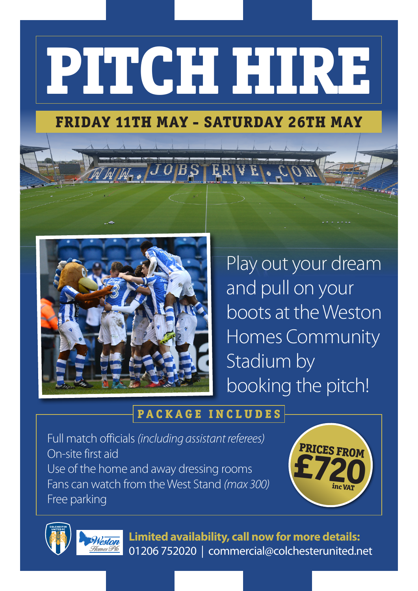# **PITCH HIRE**

# **FRIDAY 11TH MAY - SATURDAY 26TH MAY**

ERVE.



 $W_1$  ,  $\overline{J}$   $\overline{O}$   $\overline{B}$  ,  $\overline{S}$  ,

Play out your dream and pull on your boots at the Weston Homes Community Stadium by booking the pitch!

### **PACKAGE INCLUDES**

Full match officials *(including assistant referees)* On-site first aid Use of the home and away dressing rooms Fans can watch from the West Stand *(max 300)* Free parking





**Limited availability, call now for more details:** 01206 752020 | commercial@colchesterunited.net